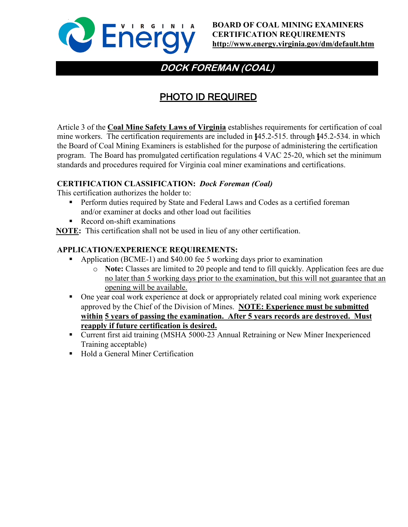

# **DOCK FOREMAN (COAL)**

# PHOTO ID REQUIRED

Article 3 of the **Coal Mine Safety Laws of Virginia** establishes requirements for certification of coal mine workers. The certification requirements are included in §45.2-515. through §45.2-534. in which the Board of Coal Mining Examiners is established for the purpose of administering the certification program. The Board has promulgated certification regulations 4 VAC 25-20, which set the minimum standards and procedures required for Virginia coal miner examinations and certifications.

### **CERTIFICATION CLASSIFICATION:** *Dock Foreman (Coal)*

This certification authorizes the holder to:

- **Perform duties required by State and Federal Laws and Codes as a certified foreman** and/or examiner at docks and other load out facilities
- Record on-shift examinations

**NOTE:** This certification shall not be used in lieu of any other certification.

### **APPLICATION/EXPERIENCE REQUIREMENTS:**

- Application (BCME-1) and \$40.00 fee 5 working days prior to examination
	- o **Note:** Classes are limited to 20 people and tend to fill quickly. Application fees are due no later than 5 working days prior to the examination, but this will not guarantee that an opening will be available.
- **•** One year coal work experience at dock or appropriately related coal mining work experience approved by the Chief of the Division of Mines. **NOTE: Experience must be submitted within 5 years of passing the examination. After 5 years records are destroyed. Must reapply if future certification is desired.**
- Current first aid training (MSHA 5000-23 Annual Retraining or New Miner Inexperienced Training acceptable)
- Hold a General Miner Certification